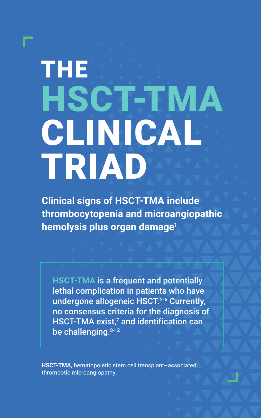# THE HSCT-TMA CLINICAL TRIAD

**Clinical signs of HSCT-TMA include thrombocytopenia and microangiopathic hemolysis plus organ damage1**

**HSCT-TMA** is a frequent and potentially lethal complication in patients who have undergone allogeneic HSCT.<sup>2-6</sup> Currently, no consensus criteria for the diagnosis of HSCT-TMA exist, $^7$  and identification can be challenging. 8-12

**HSCT-TMA,** hematopoietic stem cell transplant–associated thrombotic microangiopathy.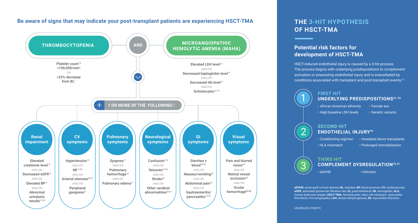#### **Be aware of signs that may indicate your post-transplant patients are experiencing HSCT-TMA**



## **THE 3-HIT HYPOTHESIS OF HSCT-TMA**

### **Potential risk factors for development of HSCT-TMA**

HSCT-induced endothelial injury is caused by a 3-hit process. The process begins with underlying predispositions to complement activation or preexisting endothelial injury and is exacerbated by conditions associated with transplant and post-transplant events.<sup>31</sup>



• High baseline LDH levels • Genetic variants

# **SECOND HIT ENDOTHELIAL INJURY10**

• Conditioning regimen • Unrelated donor transplants • HLA mismatch • Prolonged immobilization



1

2

#### **THIRD HIT COMPLEMENT DYSREGULATION10,31** • aGVHD • Infection

**aGVHD**, acute graft-vs-host disease; **BL**, baseline; **BP**, blood pressure; **CV**, cardiovascular; **eGFR**, estimated glomerular filtration rate; **GI**, gastrointestinal; **Hb**, hemoglobin; **HLA**, human leukocyte antigen; **HSCT-TMA**, hematopoietic stem cell transplant–associated thrombotic microangiopathy; **LDH**, lactate dehydrogenase; **MI**, myocardial infarction

US-DSE-EIS-2100019